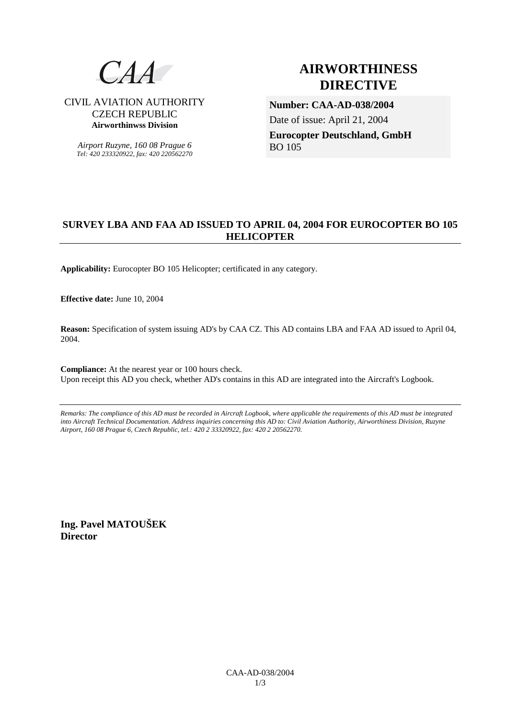

CIVIL AVIATION AUTHORITY CZECH REPUBLIC **Airworthinwss Division** 

> *Airport Ruzyne, 160 08 Prague 6 Tel: 420 233320922, fax: 420 220562270*

## **AIRWORTHINESS DIRECTIVE**

**Number: CAA-AD-038/2004**  Date of issue: April 21, 2004 **Eurocopter Deutschland, GmbH**  BO 105

## **SURVEY LBA AND FAA AD ISSUED TO APRIL 04, 2004 FOR EUROCOPTER BO 105 HELICOPTER**

**Applicability:** Eurocopter BO 105 Helicopter; certificated in any category.

**Effective date:** June 10, 2004

**Reason:** Specification of system issuing AD's by CAA CZ. This AD contains LBA and FAA AD issued to April 04, 2004.

**Compliance:** At the nearest year or 100 hours check. Upon receipt this AD you check, whether AD's contains in this AD are integrated into the Aircraft's Logbook.

*Remarks: The compliance of this AD must be recorded in Aircraft Logbook, where applicable the requirements of this AD must be integrated into Aircraft Technical Documentation. Address inquiries concerning this AD to: Civil Aviation Authority, Airworthiness Division, Ruzyne Airport, 160 08 Prague 6, Czech Republic, tel.: 420 2 33320922, fax: 420 2 20562270.* 

**Ing. Pavel MATOUŠEK Director**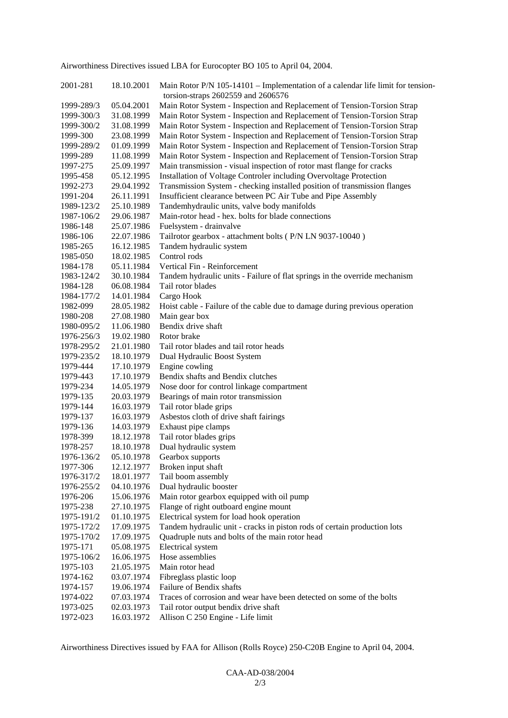Airworthiness Directives issued LBA for Eurocopter BO 105 to April 04, 2004.

| 2001-281   | 18.10.2001 | Main Rotor P/N 105-14101 – Implementation of a calendar life limit for tension-<br>torsion-straps 2602559 and 2606576 |
|------------|------------|-----------------------------------------------------------------------------------------------------------------------|
| 1999-289/3 | 05.04.2001 | Main Rotor System - Inspection and Replacement of Tension-Torsion Strap                                               |
| 1999-300/3 | 31.08.1999 | Main Rotor System - Inspection and Replacement of Tension-Torsion Strap                                               |
| 1999-300/2 | 31.08.1999 | Main Rotor System - Inspection and Replacement of Tension-Torsion Strap                                               |
| 1999-300   | 23.08.1999 | Main Rotor System - Inspection and Replacement of Tension-Torsion Strap                                               |
| 1999-289/2 | 01.09.1999 | Main Rotor System - Inspection and Replacement of Tension-Torsion Strap                                               |
| 1999-289   | 11.08.1999 | Main Rotor System - Inspection and Replacement of Tension-Torsion Strap                                               |
| 1997-275   | 25.09.1997 | Main transmission - visual inspection of rotor mast flange for cracks                                                 |
| 1995-458   | 05.12.1995 | Installation of Voltage Controler including Overvoltage Protection                                                    |
| 1992-273   | 29.04.1992 | Transmission System - checking installed position of transmission flanges                                             |
| 1991-204   | 26.11.1991 | Insufficient clearance between PC Air Tube and Pipe Assembly                                                          |
| 1989-123/2 | 25.10.1989 | Tandemhydraulic units, valve body manifolds                                                                           |
| 1987-106/2 | 29.06.1987 | Main-rotor head - hex. bolts for blade connections                                                                    |
| 1986-148   | 25.07.1986 | Fuelsystem - drainvalve                                                                                               |
| 1986-106   | 22.07.1986 | Tailrotor gearbox - attachment bolts (P/N LN 9037-10040)                                                              |
| 1985-265   | 16.12.1985 | Tandem hydraulic system                                                                                               |
| 1985-050   | 18.02.1985 | Control rods                                                                                                          |
| 1984-178   | 05.11.1984 | Vertical Fin - Reinforcement                                                                                          |
| 1983-124/2 | 30.10.1984 | Tandem hydraulic units - Failure of flat springs in the override mechanism                                            |
| 1984-128   | 06.08.1984 | Tail rotor blades                                                                                                     |
| 1984-177/2 | 14.01.1984 | Cargo Hook                                                                                                            |
| 1982-099   | 28.05.1982 | Hoist cable - Failure of the cable due to damage during previous operation                                            |
| 1980-208   | 27.08.1980 | Main gear box                                                                                                         |
| 1980-095/2 | 11.06.1980 | Bendix drive shaft                                                                                                    |
| 1976-256/3 | 19.02.1980 | Rotor brake                                                                                                           |
| 1978-295/2 | 21.01.1980 | Tail rotor blades and tail rotor heads                                                                                |
| 1979-235/2 | 18.10.1979 | Dual Hydraulic Boost System                                                                                           |
| 1979-444   | 17.10.1979 | Engine cowling                                                                                                        |
| 1979-443   | 17.10.1979 | Bendix shafts and Bendix clutches                                                                                     |
| 1979-234   | 14.05.1979 | Nose door for control linkage compartment                                                                             |
| 1979-135   | 20.03.1979 | Bearings of main rotor transmission                                                                                   |
| 1979-144   | 16.03.1979 | Tail rotor blade grips                                                                                                |
| 1979-137   | 16.03.1979 | Asbestos cloth of drive shaft fairings                                                                                |
| 1979-136   | 14.03.1979 | Exhaust pipe clamps                                                                                                   |
| 1978-399   | 18.12.1978 | Tail rotor blades grips                                                                                               |
| 1978-257   | 18.10.1978 | Dual hydraulic system                                                                                                 |
| 1976-136/2 | 05.10.1978 | Gearbox supports                                                                                                      |
| 1977-306   | 12.12.1977 | Broken input shaft                                                                                                    |
| 1976-317/2 | 18.01.1977 | Tail boom assembly                                                                                                    |
| 1976-255/2 | 04.10.1976 | Dual hydraulic booster                                                                                                |
| 1976-206   | 15.06.1976 | Main rotor gearbox equipped with oil pump                                                                             |
| 1975-238   | 27.10.1975 | Flange of right outboard engine mount                                                                                 |
| 1975-191/2 | 01.10.1975 | Electrical system for load hook operation                                                                             |
| 1975-172/2 | 17.09.1975 | Tandem hydraulic unit - cracks in piston rods of certain production lots                                              |
| 1975-170/2 | 17.09.1975 | Quadruple nuts and bolts of the main rotor head                                                                       |
| 1975-171   | 05.08.1975 | Electrical system                                                                                                     |
| 1975-106/2 | 16.06.1975 | Hose assemblies                                                                                                       |
| 1975-103   | 21.05.1975 | Main rotor head                                                                                                       |
| 1974-162   | 03.07.1974 | Fibreglass plastic loop                                                                                               |
| 1974-157   | 19.06.1974 | Failure of Bendix shafts                                                                                              |
| 1974-022   |            | Traces of corrosion and wear have been detected on some of the bolts                                                  |
| 1973-025   | 07.03.1974 |                                                                                                                       |
| 1972-023   | 02.03.1973 | Tail rotor output bendix drive shaft                                                                                  |
|            | 16.03.1972 | Allison C 250 Engine - Life limit                                                                                     |

Airworthiness Directives issued by FAA for Allison (Rolls Royce) 250-C20B Engine to April 04, 2004.